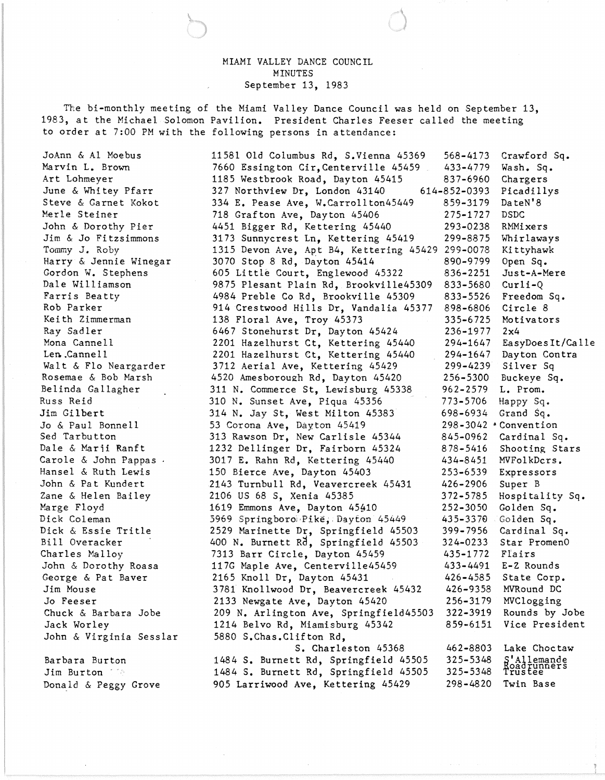## MIAMI VALLEY DANCE COUNCIL MINUTES September 13, 1983

The bi-monthly meeting of the Miami Valley Dance Council was held on September 13, 1983, at the Michael Solomon Pavilion. President Charles Feeser called the meeting to order at 7:00 PM with the following persons in attendance:

JoAnn & Al Moebus Marvin L. Brown Art Lohmeyer June & Whitey Pfarr Steve & Garnet Kokot Merle Steiner John & Dorothy Pier Jim & Jo Fitzsimmons Tommy J. Roby Harry & Jennie Winegar Gordon W. Stephens Dale Williamson Farris Beatty Rob Parker Kei th Zimmerman Ray Sadler Mona Cannell Len. .Canne 11 Walt & Flo Neargarder Rosemae & Bob Marsh Belinda Gallagher Russ Reid Jim Gilbert Jo & Paul Bonnell Sed Tarbutton Dale & Marii Ranft Carole & John Pappas Hansel & Ruth Lewis John & Pat Kundert Zane & Helen Bailey Marge Floyd Dick Coleman Dick & Essie Tritle Bill Overacker Charles Malloy John & Dorothy Roasa George & Pat Baver Jim Mouse Jo Feeser Chuck & Barbara Jobe Jack Worley John & Virginia Sesslar

Barbara Burton Jim Burton 110 Donald & Peggy Grove

11581 Old Columbus Rd, S.Vienna 45369 7660 Essington Cir,Centerville 45459 1185 Westbrook Road, Dayton 45415 568-4173 433-4779 837-6960 327 Northview Dr, London 43140 334 E. Pease Ave, W.Carroll ton45449 718 Grafton Ave, Dayton 43406 4451 Bigger Rd, Kettering 45440 614-852-0393 859-3179 275-1727 293-0238 3173 Sunnycrest Ln, Kettering 45419 299-8875 1315 Devon Ave, Apt B4, Kettering 45429 299-0078 3070 Stop 8 Rd, Dayton 45414 605 Little Court, Englewood 45322 9875 Plesant Plain Rd, Brookville45309 4984 Preble Co Rd, Brookville 45309 914 Crestwood Hills Dr, Vandalia 45377 138 Floral Ave, Troy 45373 6467 Stonehurst Dr, Dayton 45424 2201 Hazelhurst Ct, Kettering 45440 2201 Hazelhurst Ct, Kettering 45440 3712 Aerial Ave, Kettering 45429 4520 Amesboroueh Rd, Dayton 45420 311 N. Commerce St, Lewisburg 45338 310 N. Sunset Ave, Piqua 45356 - 314 N. Jay St, West Milton 45383 53 Corona Ave, Dayton 45419 313 Rawson Dr, New Carlisle 45344 1232 Dellinger Dr, Fairborn 45324 3017 E. Rahn Rd, Kettering 45440 150 Bierce Ave, Dayton 45403 2143 Turnbull Rd, Veavercreek 45431 2106 US 68 S, Xenia 45385 1619 Emmons Ave, Dayton 45410 5969 Springboroi·Pike," Dayton 45449 2529 Marinette Dr, Springfield 45503 400 N. Burnett Rd, Springfield 45503 7313 Barr Circle, Dayton 45459 117G Maple Ave, Centerville45459 2165 Knoll Dr, Dayton 45431 3781 Knollwood Dr, Beavercreek 45432 2133 Newgate Ave, Dayton 45420 209 N. Arlington Ave, Springfield45503 1214 Belvo Rd, Miamisburg 45342 5880 S.Chas.Clifton Rd, S. Charleston 45368 1484 S. Burnett Rd, Springfield 45505 1484 S. Burnett Rd, Springfield 45505 905 Larriwood Ave, Kettering 45429 890-9799 836-2251 833-5680 833-5526 898-6806 335-6725 236-1977 294-1647 294-1647 299-4239 256-5300 962-2579 773-5706 698-6934  $298 - 3042$  \* Convention 845-0962 878-5416 434-8451 253-6539 426-2906 372-5785 252-3050 435-337El 399-7956 324-0233 435-1772 433-4491 426-4585 426-9358 256-3179 322-3919 859-6151 462-8803 325-5348 325-5348 298-4820 Crawford Sq. Wash. Sq. Chargers Picadillys DateN'8 DSDC RMMixers Whirlaways Kittyhawk Open Sq. Just-A-Mere Curli-Q Freedom Sq. Circle 8 Motivators 2x4 EasyDoesIt/Calle Dayton Contra Silver Sq Buckeye Sq. L. Prom. Happy Sq. Grand Sq. Cardinal Sq. Shooting Stars MVFolkDcrs. Expressors Super B Hospitality Sq. Golden Sq. . Golden Sq. Cardinal Sq. Star PromenO Flairs E-Z Rounds State Corp. MVRound DC MVClogging Rounds by Jobe Vice President Lake Choctaw 'Allemande<br>oadrunners<br>rustee Twin Base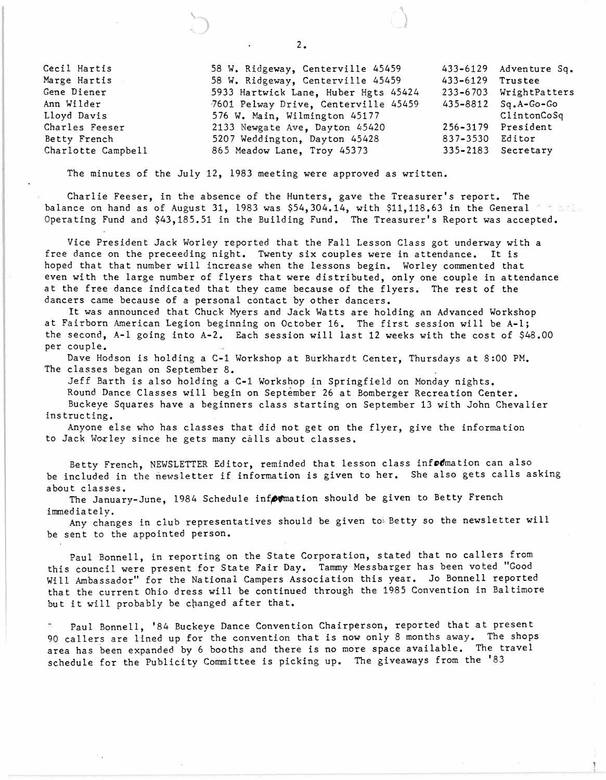| Cecil Hartis       | 58 W. Ridgeway, Centerville 45459    |                  | 433-6129 Adventure Sq.    |
|--------------------|--------------------------------------|------------------|---------------------------|
| Marge Hartis       | 58 W. Ridgeway, Centerville 45459    | 433-6129 Trustee |                           |
| Gene Diener        | 5933 Hartwick Lane, Huber Hgts 45424 |                  | 233-6703 WrightPatters    |
| Ann Wilder         | 7601 Pelway Drive, Centerville 45459 |                  | $435 - 8812$ $Sq.A-Go-Go$ |
| Lloyd Davis        | 576 W. Main, Wilmington 45177        |                  | ClintonCoSq               |
| Charles Feeser     | 2133 Newgate Ave, Dayton 45420       |                  | 256-3179 President        |
| Betty French       | 5207 Weddington, Dayton 45428        | 837-3530 Editor  |                           |
| Charlotte Campbell | 865 Meadow Lane, Troy 45373          |                  | 335-2183 Secretary        |

The minutes of the July 12, 1983 meeting were approved as written.

Charlie Feeser, in the absence of the Hunters, gave the Treasurer's report. The balance on hand as of August 31, 1983 was \$54,304.14, with \$11,118.63 in the General Operating Fund and \$43,185.51 in the Building Fund. The Treasurer's Report was accepted.

Vice President Jack Worley reported that the Fall Lesson Class got underway with a free dance on the preceeding night. Twenty six couples were in attendance. It is hoped that that number will increase when the lessons begin. Worley commented that even with the large number of flyers that were distributed, only one couple in attendance at the free dance indicated that they came because of the flyers. The rest of the dancers came because of a personal contact by other dancers.

It was announced that Chuck Myers and Jack Watts are holding an Advanced Workshop at Fairborn American Legion beginning on October 16. The first session will be A-I; the second, A-I going into A-2. Each session will last 12 weeks with the cost of \$48.00 per couple.

Dave Hodson is holding a C-1 Workshop at Burkhardt Center, Thursdays at 8:00 PM. The classes began on September 8.

Jeff Barth is also holding a C-1 Workshop in Springfield on Monday nights. Round Dance Classes will begin on September 26 at Bomberger Recreation Center. Buckeye Squares have a beginners class starting on September 13 with John Chevalier instructing.

Anyone else who has classes that did not get on the flyer, give the information to Jack Worley since he gets many calls about classes.

Betty French, NEWSLETTER Editor, reminded that lesson class information can also be included in the newsletter if information is given to her. She also gets calls asking about classes.

The January-June, 1984 Schedule information should be given to Betty French immediately.

Any changes in club representatives should be given to Betty so the newsletter will be sent to the appointed person.

Paul Bonnell, in reporting on the State Corporation, stated that no callers from this council were present for State Fair Day. Tammy Messbarger has been voted "Good Will Ambassador" for the National Campers Association this year. Jo Bonnell reported that the current Ohio dress will be continued through the 1985 Convention in Baltimore but it will probably be changed after that.

Paul Bonnell, '84 Buckeye Dance Convention Chairperson, reported that at present 90 callers are lined up for the convention that is now only 8 months away. The shops area has been expanded by 6 booths and there is no more space available. The travel schedule for the Publicity Committee is picking up. The giveaways from the '83